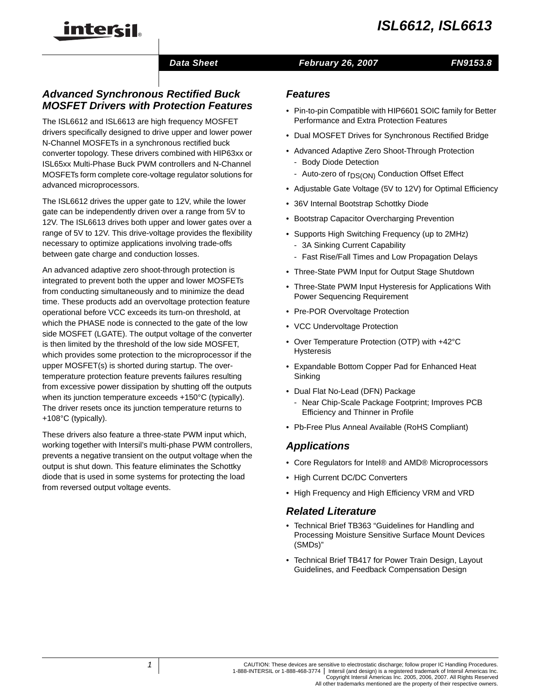

## *Data Sheet February 26, 2007*

## *FN9153.8*

# *Advanced Synchronous Rectified Buck MOSFET Drivers with Protection Features*

The ISL6612 and ISL6613 are high frequency MOSFET drivers specifically designed to drive upper and lower power N-Channel MOSFETs in a synchronous rectified buck converter topology. These drivers combined with HIP63xx or ISL65xx Multi-Phase Buck PWM controllers and N-Channel MOSFETs form complete core-voltage regulator solutions for advanced microprocessors.

The ISL6612 drives the upper gate to 12V, while the lower gate can be independently driven over a range from 5V to 12V. The ISL6613 drives both upper and lower gates over a range of 5V to 12V. This drive-voltage provides the flexibility necessary to optimize applications involving trade-offs between gate charge and conduction losses.

An advanced adaptive zero shoot-through protection is integrated to prevent both the upper and lower MOSFETs from conducting simultaneously and to minimize the dead time. These products add an overvoltage protection feature operational before VCC exceeds its turn-on threshold, at which the PHASE node is connected to the gate of the low side MOSFET (LGATE). The output voltage of the converter is then limited by the threshold of the low side MOSFET, which provides some protection to the microprocessor if the upper MOSFET(s) is shorted during startup. The overtemperature protection feature prevents failures resulting from excessive power dissipation by shutting off the outputs when its junction temperature exceeds +150°C (typically). The driver resets once its junction temperature returns to +108°C (typically).

These drivers also feature a three-state PWM input which, working together with Intersil's multi-phase PWM controllers, prevents a negative transient on the output voltage when the output is shut down. This feature eliminates the Schottky diode that is used in some systems for protecting the load from reversed output voltage events.

### *Features*

- Pin-to-pin Compatible with HIP6601 SOIC family for Better Performance and Extra Protection Features
- Dual MOSFET Drives for Synchronous Rectified Bridge
- Advanced Adaptive Zero Shoot-Through Protection
	- Body Diode Detection
	- Auto-zero of r<sub>DS(ON)</sub> Conduction Offset Effect
- Adjustable Gate Voltage (5V to 12V) for Optimal Efficiency
- 36V Internal Bootstrap Schottky Diode
- Bootstrap Capacitor Overcharging Prevention
- Supports High Switching Frequency (up to 2MHz)
	- 3A Sinking Current Capability
	- Fast Rise/Fall Times and Low Propagation Delays
- Three-State PWM Input for Output Stage Shutdown
- Three-State PWM Input Hysteresis for Applications With Power Sequencing Requirement
- Pre-POR Overvoltage Protection
- VCC Undervoltage Protection
- Over Temperature Protection (OTP) with +42°C Hysteresis
- Expandable Bottom Copper Pad for Enhanced Heat Sinking
- Dual Flat No-Lead (DFN) Package
	- Near Chip-Scale Package Footprint; Improves PCB Efficiency and Thinner in Profile
- Pb-Free Plus Anneal Available (RoHS Compliant)

## *Applications*

- Core Regulators for Intel® and AMD® Microprocessors
- High Current DC/DC Converters
- High Frequency and High Efficiency VRM and VRD

#### *Related Literature*

- Technical Brief TB363 "Guidelines for Handling and Processing Moisture Sensitive Surface Mount Devices (SMDs)"
- Technical Brief TB417 for Power Train Design, Layout Guidelines, and Feedback Compensation Design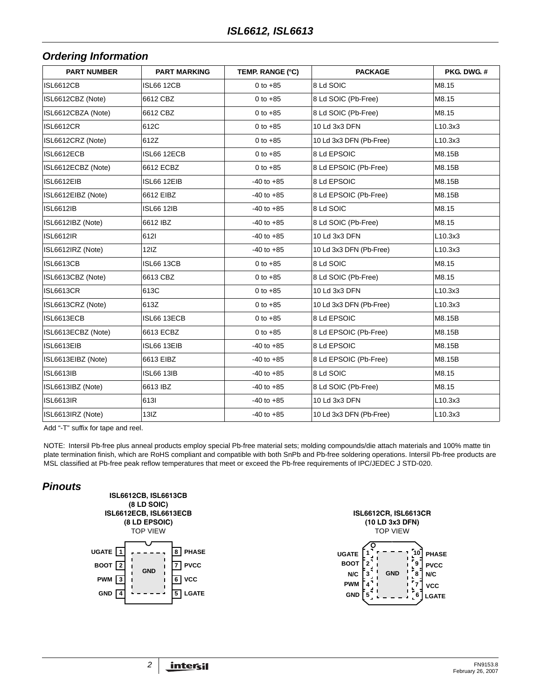## *Ordering Information*

| <b>PART NUMBER</b> | <b>PART MARKING</b> | TEMP. RANGE (°C) | <b>PACKAGE</b>          | PKG. DWG. # |
|--------------------|---------------------|------------------|-------------------------|-------------|
| <b>ISL6612CB</b>   | <b>ISL66 12CB</b>   | 0 to $+85$       | 8 Ld SOIC               | M8.15       |
| ISL6612CBZ (Note)  | 6612 CBZ            | 0 to $+85$       | 8 Ld SOIC (Pb-Free)     | M8.15       |
| ISL6612CBZA (Note) | 6612 CBZ            | $0 to +85$       | 8 Ld SOIC (Pb-Free)     | M8.15       |
| <b>ISL6612CR</b>   | 612C                | 0 to $+85$       | 10 Ld 3x3 DFN           | L10.3x3     |
| ISL6612CRZ (Note)  | 612Z                | $0 to +85$       | 10 Ld 3x3 DFN (Pb-Free) | L10.3x3     |
| ISL6612ECB         | ISL66 12ECB         | 0 to $+85$       | 8 Ld EPSOIC             | M8.15B      |
| ISL6612ECBZ (Note) | 6612 ECBZ           | 0 to $+85$       | 8 Ld EPSOIC (Pb-Free)   | M8.15B      |
| ISL6612EIB         | ISL66 12EIB         | $-40$ to $+85$   | 8 Ld EPSOIC             | M8.15B      |
| ISL6612EIBZ (Note) | 6612 EIBZ           | $-40$ to $+85$   | 8 Ld EPSOIC (Pb-Free)   | M8.15B      |
| <b>ISL6612IB</b>   | <b>ISL66 12IB</b>   | $-40$ to $+85$   | 8 Ld SOIC               | M8.15       |
| ISL6612IBZ (Note)  | 6612 IBZ            | $-40$ to $+85$   | 8 Ld SOIC (Pb-Free)     | M8.15       |
| <b>ISL6612IR</b>   | 6121                | $-40$ to $+85$   | 10 Ld 3x3 DFN           | L10.3x3     |
| ISL6612IRZ (Note)  | 12IZ                | $-40$ to $+85$   | 10 Ld 3x3 DFN (Pb-Free) | L10.3x3     |
| <b>ISL6613CB</b>   | <b>ISL66 13CB</b>   | 0 to $+85$       | 8 Ld SOIC               | M8.15       |
| ISL6613CBZ (Note)  | 6613 CBZ            | $0 to +85$       | 8 Ld SOIC (Pb-Free)     | M8.15       |
| <b>ISL6613CR</b>   | 613C                | 0 to $+85$       | 10 Ld 3x3 DFN           | L10.3x3     |
| ISL6613CRZ (Note)  | 613Z                | $0 to +85$       | 10 Ld 3x3 DFN (Pb-Free) | L10.3x3     |
| ISL6613ECB         | ISL66 13ECB         | 0 to $+85$       | 8 Ld EPSOIC             | M8.15B      |
| ISL6613ECBZ (Note) | 6613 ECBZ           | $0 to +85$       | 8 Ld EPSOIC (Pb-Free)   | M8.15B      |
| ISL6613EIB         | ISL66 13EIB         | $-40$ to $+85$   | 8 Ld EPSOIC             | M8.15B      |
| ISL6613EIBZ (Note) | 6613 EIBZ           | $-40$ to $+85$   | 8 Ld EPSOIC (Pb-Free)   | M8.15B      |
| <b>ISL6613IB</b>   | <b>ISL66 13IB</b>   | $-40$ to $+85$   | 8 Ld SOIC               | M8.15       |
| ISL6613IBZ (Note)  | 6613 IBZ            | $-40$ to $+85$   | 8 Ld SOIC (Pb-Free)     | M8.15       |
| <b>ISL6613IR</b>   | 6131                | $-40$ to $+85$   | 10 Ld 3x3 DFN           | L10.3x3     |
| ISL6613IRZ (Note)  | 13IZ                | $-40$ to $+85$   | 10 Ld 3x3 DFN (Pb-Free) | L10.3x3     |

Add "-T" suffix for tape and reel.

NOTE: Intersil Pb-free plus anneal products employ special Pb-free material sets; molding compounds/die attach materials and 100% matte tin plate termination finish, which are RoHS compliant and compatible with both SnPb and Pb-free soldering operations. Intersil Pb-free products are MSL classified at Pb-free peak reflow temperatures that meet or exceed the Pb-free requirements of IPC/JEDEC J STD-020.

## *Pinouts*



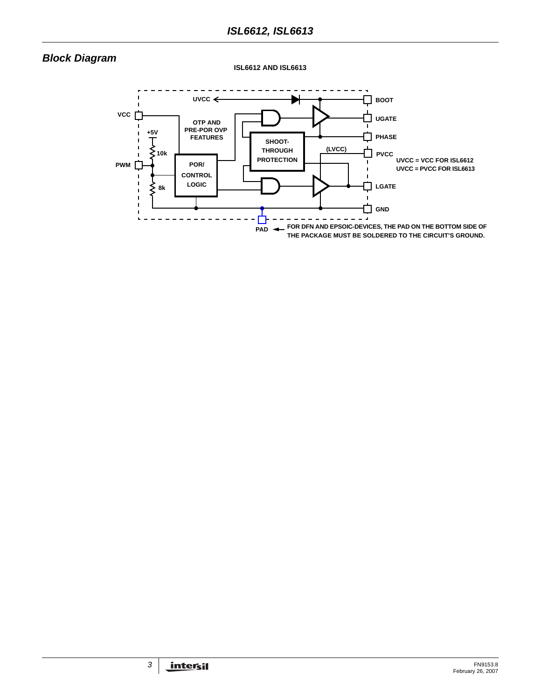# *Block Diagram*

**ISL6612 AND ISL6613**

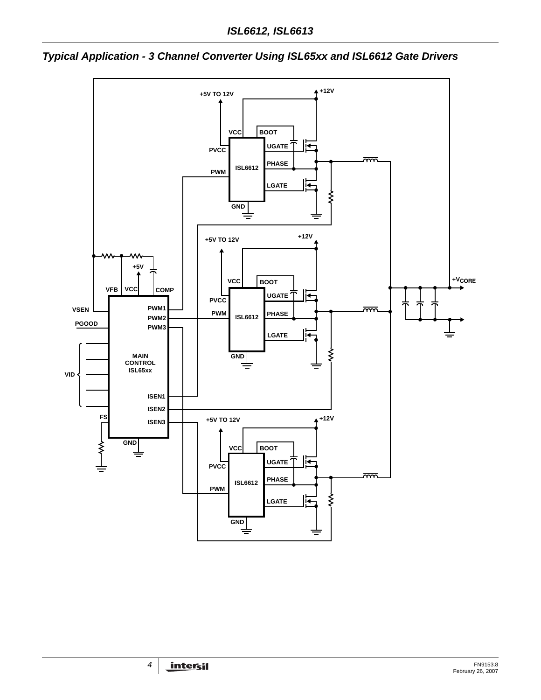

*Typical Application - 3 Channel Converter Using ISL65xx and ISL6612 Gate Drivers*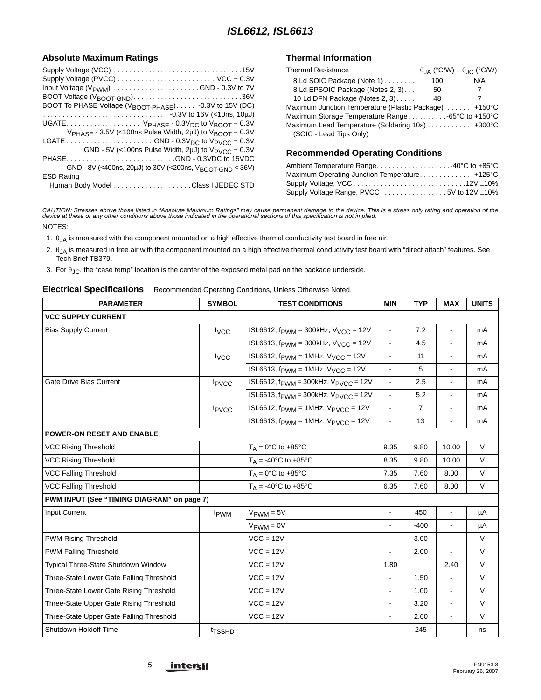#### Absolute Maximum Ratings **Thermal Information**

| Supply Voltage (PVCC)  VCC + 0.3V                                               |
|---------------------------------------------------------------------------------|
| Input Voltage $(V_{\text{PWM}})$ GND - 0.3V to 7V                               |
|                                                                                 |
| BOOT To PHASE Voltage (V <sub>BOOT-PHASE</sub> ) -0.3V to 15V (DC)              |
|                                                                                 |
| UGATE $V_{PHASE}$ - 0.3 $V_{DC}$ to $V_{BNOT}$ + 0.3V                           |
| V <sub>PHASE</sub> - 3.5V (<100ns Pulse Width, 2µJ) to V <sub>BOOT</sub> + 0.3V |
|                                                                                 |
| GND - 5V (<100ns Pulse Width, 2uJ) to $V_{PVCC}$ + 0.3V                         |
| PHASEGND - 0.3VDC to 15VDC                                                      |
| GND - 8V (<400ns, 20µJ) to 30V (<200ns, V <sub>BOOT-GND</sub> < 36V)            |
| <b>ESD Rating</b>                                                               |
|                                                                                 |

|     | $\theta$ IA (°C/W) $\theta$ IC (°C/W)                 |
|-----|-------------------------------------------------------|
| 100 | N/A                                                   |
| 50  |                                                       |
| 48  |                                                       |
|     | Maximum Junction Temperature (Plastic Package) +150°C |
|     | Maximum Storage Temperature Range-65°C to +150°C      |
|     | Maximum Lead Temperature (Soldering 10s)  +300°C      |
|     |                                                       |
|     |                                                       |

#### **Recommended Operating Conditions**

| Ambient Temperature Range40°C to +85°C                                              |  |
|-------------------------------------------------------------------------------------|--|
| Maximum Operating Junction Temperature +125°C                                       |  |
| Supply Voltage, VCC12V ±10%                                                         |  |
| Supply Voltage Range, PVCC $\ldots \ldots \ldots \ldots \ldots$ 5V to 12V $\pm$ 10% |  |

CAUTION: Stresses above those listed in "Absolute Maximum Ratings" may cause permanent damage to the device. This is a stress only rating and operation of the<br>device at these or any other conditions above those indicated i

NOTES:

<span id="page-4-0"></span>1.  $\theta_{JA}$  is measured with the component mounted on a high effective thermal conductivity test board in free air.

<span id="page-4-1"></span>2. θJA is measured in free air with the component mounted on a high effective thermal conductivity test board with "direct attach" features. See Tech Brief TB379.

<span id="page-4-2"></span>3. For  $\theta_{\rm JC}$ , the "case temp" location is the center of the exposed metal pad on the package underside.

## <span id="page-4-3"></span>**Electrical Specifications** Recommended Operating Conditions, Unless Otherwise Noted.

| <b>PARAMETER</b>                           | <b>SYMBOL</b>            | <b>TEST CONDITIONS</b>                                                      | <b>MIN</b>     | <b>TYP</b>     | <b>MAX</b>     | <b>UNITS</b> |
|--------------------------------------------|--------------------------|-----------------------------------------------------------------------------|----------------|----------------|----------------|--------------|
| <b>VCC SUPPLY CURRENT</b>                  |                          |                                                                             |                |                |                |              |
| <b>Bias Supply Current</b>                 | <b>I</b> vcc             | ISL6612, $f_{\text{PWM}} = 300$ kHz, $V_{\text{VCC}} = 12V$                 | $\blacksquare$ | 7.2            |                | mA           |
|                                            |                          | ISL6613, $f_{\text{PWM}} = 300 \text{kHz}$ , $V_{\text{VCC}} = 12 \text{V}$ | $\mathbf{r}$   | 4.5            | $\blacksquare$ | mA           |
|                                            | <b>I</b> <sub>V</sub> CC | ISL6612, $f_{\text{PWM}} = 1$ MHz, $V_{\text{VCC}} = 12V$                   | $\blacksquare$ | 11             | $\blacksquare$ | mA           |
|                                            |                          | ISL6613, $f_{\text{PWM}} = 1$ MHz, $V_{\text{VCC}} = 12V$                   | $\mathbf{r}$   | 5              | $\blacksquare$ | mA           |
| <b>Gate Drive Bias Current</b>             | <b>I</b> PVCC            | ISL6612, $f_{\text{PWM}} = 300$ kHz, $V_{\text{PVCC}} = 12V$                | $\blacksquare$ | 2.5            | $\blacksquare$ | mA           |
|                                            |                          | ISL6613, $f_{\text{PWM}} = 300$ kHz, $V_{\text{PVCC}} = 12V$                | $\blacksquare$ | 5.2            | $\blacksquare$ | mA           |
|                                            | $I_{\text{PVCC}}$        | ISL6612, $f_{\text{PWM}} = 1$ MHz, $V_{\text{PVCC}} = 12V$                  | $\blacksquare$ | $\overline{7}$ | $\blacksquare$ | mA           |
|                                            |                          | ISL6613, $f_{\text{PWM}} = 1$ MHz, $V_{\text{PVCC}} = 12V$                  | $\blacksquare$ | 13             | $\blacksquare$ | mA           |
| <b>POWER-ON RESET AND ENABLE</b>           |                          |                                                                             |                |                |                |              |
| <b>VCC Rising Threshold</b>                |                          | $T_A = 0$ °C to +85°C                                                       | 9.35           | 9.80           | 10.00          | $\vee$       |
| <b>VCC Rising Threshold</b>                |                          | $T_A = -40^{\circ}C$ to $+85^{\circ}C$                                      | 8.35           | 9.80           | 10.00          | $\vee$       |
| <b>VCC Falling Threshold</b>               |                          | $T_A = 0$ °C to +85°C                                                       | 7.35           | 7.60           | 8.00           | $\vee$       |
| VCC Falling Threshold                      |                          | $T_A = -40$ °C to $+85$ °C                                                  | 6.35           | 7.60           | 8.00           | $\vee$       |
| PWM INPUT (See "TIMING DIAGRAM" on page 7) |                          |                                                                             |                |                |                |              |
| Input Current                              | <b>I</b> <sub>PWM</sub>  | $V_{\text{PWM}} = 5V$                                                       | $\blacksquare$ | 450            | $\blacksquare$ | μA           |
|                                            |                          | $V_{\text{PWM}} = 0V$                                                       | $\blacksquare$ | -400           | $\blacksquare$ | μA           |
| PWM Rising Threshold                       |                          | $VCC = 12V$                                                                 | $\blacksquare$ | 3.00           | $\blacksquare$ | $\vee$       |
| PWM Falling Threshold                      |                          | $VCC = 12V$                                                                 |                | 2.00           |                | $\vee$       |
| Typical Three-State Shutdown Window        |                          | $VCC = 12V$                                                                 | 1.80           |                | 2.40           | $\vee$       |
| Three-State Lower Gate Falling Threshold   |                          | $VCC = 12V$                                                                 | $\blacksquare$ | 1.50           | $\blacksquare$ | $\vee$       |
| Three-State Lower Gate Rising Threshold    |                          | $VCC = 12V$                                                                 | $\blacksquare$ | 1.00           | $\blacksquare$ | $\vee$       |
| Three-State Upper Gate Rising Threshold    |                          | $VCC = 12V$                                                                 | $\blacksquare$ | 3.20           | $\blacksquare$ | $\vee$       |
| Three-State Upper Gate Falling Threshold   |                          | $VCC = 12V$                                                                 | $\blacksquare$ | 2.60           | $\blacksquare$ | $\vee$       |
| Shutdown Holdoff Time                      | <sup>t</sup> TSSHD       |                                                                             |                | 245            |                | ns           |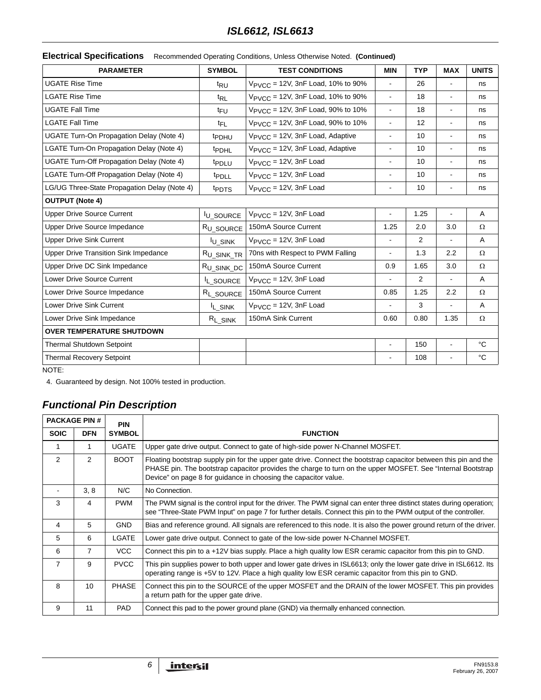#### **Electrical Specifications** Recommended Operating Conditions, Unless Otherwise Noted. **(Continued)**

| <b>PARAMETER</b>                                | <b>SYMBOL</b>          | <b>TEST CONDITIONS</b>                        | <b>MIN</b>               | <b>TYP</b>     | <b>MAX</b>               | <b>UNITS</b> |
|-------------------------------------------------|------------------------|-----------------------------------------------|--------------------------|----------------|--------------------------|--------------|
| <b>UGATE Rise Time</b>                          | t <sub>RU</sub>        | V <sub>PVCC</sub> = 12V, 3nF Load, 10% to 90% | $\blacksquare$           | 26             |                          | ns           |
| <b>LGATE Rise Time</b>                          | $t_{RL}$               | V <sub>PVCC</sub> = 12V, 3nF Load, 10% to 90% | $\blacksquare$           | 18             | $\blacksquare$           | ns           |
| <b>UGATE Fall Time</b>                          | <sup>t</sup> FU        | V <sub>PVCC</sub> = 12V, 3nF Load, 90% to 10% | $\blacksquare$           | 18             | $\blacksquare$           | ns           |
| <b>LGATE Fall Time</b>                          | <sup>t</sup> FL        | V <sub>PVCC</sub> = 12V, 3nF Load, 90% to 10% | $\overline{\phantom{0}}$ | 12             |                          | ns           |
| <b>UGATE Turn-On Propagation Delay (Note 4)</b> | <b>t</b> PDHU          | V <sub>PVCC</sub> = 12V, 3nF Load, Adaptive   | $\blacksquare$           | 10             | $\blacksquare$           | ns           |
| LGATE Turn-On Propagation Delay (Note 4)        | <sup>t</sup> PDHL      | V <sub>PVCC</sub> = 12V, 3nF Load, Adaptive   | $\overline{\phantom{0}}$ | 10             | $\blacksquare$           | ns           |
| UGATE Turn-Off Propagation Delay (Note 4)       | <i>t</i> PDLU          | $V_{\text{PVCC}} = 12V$ , 3nF Load            | $\blacksquare$           | 10             | $\blacksquare$           | ns           |
| LGATE Turn-Off Propagation Delay (Note 4)       | <i>t</i> PDLL          | $V_{\text{PVCC}} = 12V$ , 3nF Load            | $\blacksquare$           | 10             | $\blacksquare$           | ns           |
| LG/UG Three-State Propagation Delay (Note 4)    | <sup>t</sup> PDTS      | $V_{\text{PVCC}} = 12V$ , 3nF Load            | $\blacksquare$           | 10             |                          | ns           |
| <b>OUTPUT (Note 4)</b>                          |                        |                                               |                          |                |                          |              |
| <b>Upper Drive Source Current</b>               | <b>IU_SOURCE</b>       | $V_{\text{PVCC}} = 12V$ , 3nF Load            | $\overline{\phantom{a}}$ | 1.25           | $\overline{\phantom{a}}$ | A            |
| <b>Upper Drive Source Impedance</b>             | R <sub>U_SOURCE</sub>  | 150mA Source Current                          | 1.25                     | 2.0            | 3.0                      | Ω            |
| <b>Upper Drive Sink Current</b>                 | <b>IU_SINK</b>         | $V_{\text{PVCC}} = 12V$ , 3nF Load            |                          | $\overline{2}$ | $\blacksquare$           | A            |
| <b>Upper Drive Transition Sink Impedance</b>    | R <sub>U_SINK_TR</sub> | 70ns with Respect to PWM Falling              | $\blacksquare$           | 1.3            | 2.2                      | $\Omega$     |
| Upper Drive DC Sink Impedance                   | R <sub>U_SINK_DC</sub> | 150mA Source Current                          | 0.9                      | 1.65           | 3.0                      | Ω            |
| <b>Lower Drive Source Current</b>               | IL_SOURCE              | $V_{\text{PVCC}} = 12V$ , 3nF Load            | $\overline{\phantom{0}}$ | 2              |                          | $\mathsf{A}$ |
| Lower Drive Source Impedance                    | R <sub>L</sub> SOURCE  | 150mA Source Current                          | 0.85                     | 1.25           | 2.2                      | Ω            |
| Lower Drive Sink Current                        | <sup>I</sup> L_SINK    | $V_{\text{PVCC}} = 12V$ , 3nF Load            | L.                       | 3              |                          | $\mathsf{A}$ |
| Lower Drive Sink Impedance                      | $R_{L_SINK}$           | 150mA Sink Current                            | 0.60                     | 0.80           | 1.35                     | Ω            |
| <b>OVER TEMPERATURE SHUTDOWN</b>                |                        |                                               |                          |                |                          |              |
| <b>Thermal Shutdown Setpoint</b>                |                        |                                               |                          | 150            |                          | °C           |
| <b>Thermal Recovery Setpoint</b>                |                        |                                               |                          | 108            |                          | °C           |

NOTE:

4. Guaranteed by design. Not 100% tested in production.

# *Functional Pin Description*

| <b>PACKAGE PIN #</b><br><b>PIN</b> |                |               |                                                                                                                                                                                                                                                                                                     |
|------------------------------------|----------------|---------------|-----------------------------------------------------------------------------------------------------------------------------------------------------------------------------------------------------------------------------------------------------------------------------------------------------|
| <b>SOIC</b>                        | <b>DFN</b>     | <b>SYMBOL</b> | <b>FUNCTION</b>                                                                                                                                                                                                                                                                                     |
|                                    |                | <b>UGATE</b>  | Upper gate drive output. Connect to gate of high-side power N-Channel MOSFET.                                                                                                                                                                                                                       |
| 2                                  | $\overline{2}$ | <b>BOOT</b>   | Floating bootstrap supply pin for the upper gate drive. Connect the bootstrap capacitor between this pin and the<br>PHASE pin. The bootstrap capacitor provides the charge to turn on the upper MOSFET. See "Internal Bootstrap"<br>Device" on page 8 for guidance in choosing the capacitor value. |
|                                    | 3, 8           | N/C           | No Connection.                                                                                                                                                                                                                                                                                      |
| 3                                  | 4              | <b>PWM</b>    | The PWM signal is the control input for the driver. The PWM signal can enter three distinct states during operation;<br>see "Three-State PWM Input" on page 7 for further details. Connect this pin to the PWM output of the controller.                                                            |
| 4                                  | 5              | <b>GND</b>    | Bias and reference ground. All signals are referenced to this node. It is also the power ground return of the driver.                                                                                                                                                                               |
| 5                                  | 6              | LGATE         | Lower gate drive output. Connect to gate of the low-side power N-Channel MOSFET.                                                                                                                                                                                                                    |
| 6                                  | $\overline{7}$ | VCC           | Connect this pin to a +12V bias supply. Place a high quality low ESR ceramic capacitor from this pin to GND.                                                                                                                                                                                        |
| $\overline{7}$                     | 9              | <b>PVCC</b>   | This pin supplies power to both upper and lower gate drives in ISL6613; only the lower gate drive in ISL6612. Its<br>operating range is +5V to 12V. Place a high quality low ESR ceramic capacitor from this pin to GND.                                                                            |
| 8                                  | 10             | <b>PHASE</b>  | Connect this pin to the SOURCE of the upper MOSFET and the DRAIN of the lower MOSFET. This pin provides<br>a return path for the upper gate drive.                                                                                                                                                  |
| 9                                  | 11             | <b>PAD</b>    | Connect this pad to the power ground plane (GND) via thermally enhanced connection.                                                                                                                                                                                                                 |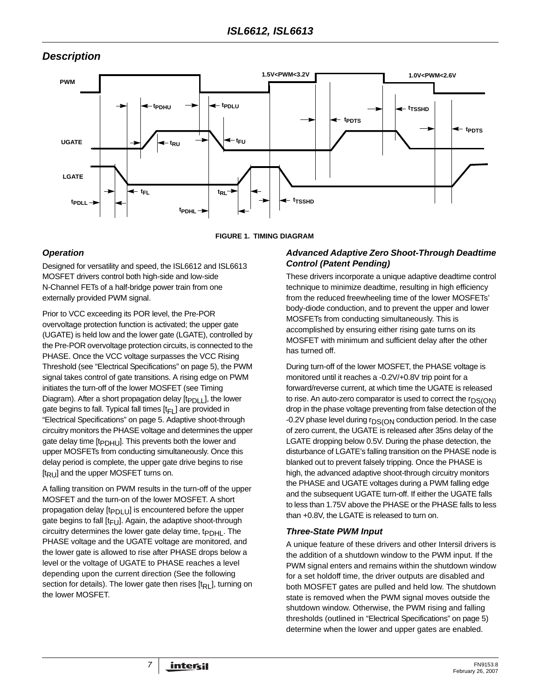# *Description*



#### **FIGURE 1. TIMING DIAGRAM**

## <span id="page-6-0"></span>*Operation*

Designed for versatility and speed, the ISL6612 and ISL6613 MOSFET drivers control both high-side and low-side N-Channel FETs of a half-bridge power train from one externally provided PWM signal.

Prior to VCC exceeding its POR level, the Pre-POR overvoltage protection function is activated; the upper gate (UGATE) is held low and the lower gate (LGATE), controlled by the Pre-POR overvoltage protection circuits, is connected to the PHASE. Once the VCC voltage surpasses the VCC Rising Threshold (see "Electrical Specifications" on [page 5\)](#page-4-3), the PWM signal takes control of gate transitions. A rising edge on PWM initiates the turn-off of the lower MOSFET (see Timing Diagram). After a short propagation delay  $[t_{PDL}]$ , the lower gate begins to fall. Typical fall times  $[t_F]$  are provided in "Electrical Specifications" on [page 5.](#page-4-3) Adaptive shoot-through circuitry monitors the PHASE voltage and determines the upper gate delay time [t<sub>PDHU</sub>]. This prevents both the lower and upper MOSFETs from conducting simultaneously. Once this delay period is complete, the upper gate drive begins to rise  $[t_{\mathsf{RU}}]$  and the upper MOSFET turns on.

A falling transition on PWM results in the turn-off of the upper MOSFET and the turn-on of the lower MOSFET. A short propagation delay  $[t_{PDLU}]$  is encountered before the upper gate begins to fall  $[t_{FU}]$ . Again, the adaptive shoot-through circuitry determines the lower gate delay time,  $t_{\text{PDH}}$ . The PHASE voltage and the UGATE voltage are monitored, and the lower gate is allowed to rise after PHASE drops below a level or the voltage of UGATE to PHASE reaches a level depending upon the current direction (See the following section for details). The lower gate then rises  $[t<sub>RL</sub>]$ , turning on the lower MOSFET.

#### *Advanced Adaptive Zero Shoot-Through Deadtime Control (Patent Pending)*

These drivers incorporate a unique adaptive deadtime control technique to minimize deadtime, resulting in high efficiency from the reduced freewheeling time of the lower MOSFETs' body-diode conduction, and to prevent the upper and lower MOSFETs from conducting simultaneously. This is accomplished by ensuring either rising gate turns on its MOSFET with minimum and sufficient delay after the other has turned off.

During turn-off of the lower MOSFET, the PHASE voltage is monitored until it reaches a -0.2V/+0.8V trip point for a forward/reverse current, at which time the UGATE is released to rise. An auto-zero comparator is used to correct the  $r_{DS(ON)}$ drop in the phase voltage preventing from false detection of the -0.2V phase level during  $r_{DS(ON)}$  conduction period. In the case of zero current, the UGATE is released after 35ns delay of the LGATE dropping below 0.5V. During the phase detection, the disturbance of LGATE's falling transition on the PHASE node is blanked out to prevent falsely tripping. Once the PHASE is high, the advanced adaptive shoot-through circuitry monitors the PHASE and UGATE voltages during a PWM falling edge and the subsequent UGATE turn-off. If either the UGATE falls to less than 1.75V above the PHASE or the PHASE falls to less than +0.8V, the LGATE is released to turn on.

#### <span id="page-6-1"></span>*Three-State PWM Input*

A unique feature of these drivers and other Intersil drivers is the addition of a shutdown window to the PWM input. If the PWM signal enters and remains within the shutdown window for a set holdoff time, the driver outputs are disabled and both MOSFET gates are pulled and held low. The shutdown state is removed when the PWM signal moves outside the shutdown window. Otherwise, the PWM rising and falling thresholds (outlined in "Electrical Specifications" on [page 5](#page-4-3)) determine when the lower and upper gates are enabled.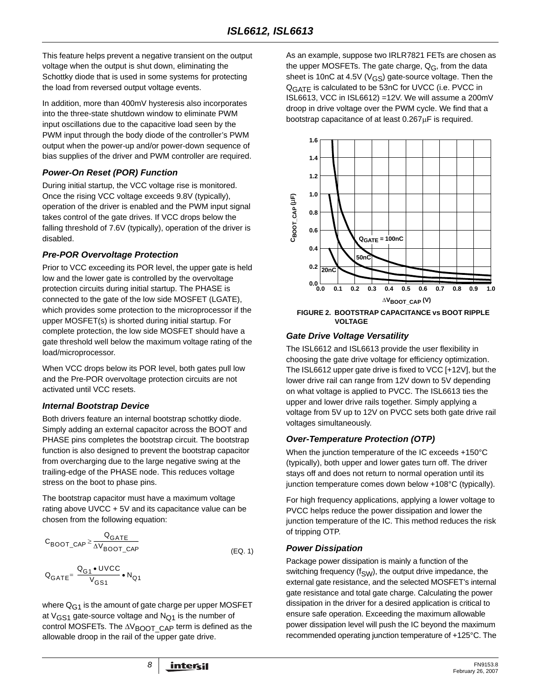This feature helps prevent a negative transient on the output voltage when the output is shut down, eliminating the Schottky diode that is used in some systems for protecting the load from reversed output voltage events.

In addition, more than 400mV hysteresis also incorporates into the three-state shutdown window to eliminate PWM input oscillations due to the capacitive load seen by the PWM input through the body diode of the controller's PWM output when the power-up and/or power-down sequence of bias supplies of the driver and PWM controller are required.

### *Power-On Reset (POR) Function*

During initial startup, the VCC voltage rise is monitored. Once the rising VCC voltage exceeds 9.8V (typically), operation of the driver is enabled and the PWM input signal takes control of the gate drives. If VCC drops below the falling threshold of 7.6V (typically), operation of the driver is disabled.

#### *Pre-POR Overvoltage Protection*

Prior to VCC exceeding its POR level, the upper gate is held low and the lower gate is controlled by the overvoltage protection circuits during initial startup. The PHASE is connected to the gate of the low side MOSFET (LGATE), which provides some protection to the microprocessor if the upper MOSFET(s) is shorted during initial startup. For complete protection, the low side MOSFET should have a gate threshold well below the maximum voltage rating of the load/microprocessor.

When VCC drops below its POR level, both gates pull low and the Pre-POR overvoltage protection circuits are not activated until VCC resets.

#### <span id="page-7-0"></span>*Internal Bootstrap Device*

Both drivers feature an internal bootstrap schottky diode. Simply adding an external capacitor across the BOOT and PHASE pins completes the bootstrap circuit. The bootstrap function is also designed to prevent the bootstrap capacitor from overcharging due to the large negative swing at the trailing-edge of the PHASE node. This reduces voltage stress on the boot to phase pins.

The bootstrap capacitor must have a maximum voltage rating above UVCC + 5V and its capacitance value can be chosen from the following equation:

$$
C_{\text{BOOT\_CAP}} \ge \frac{Q_{\text{GATE}}}{\Delta V_{\text{BOOT\_CAP}}}
$$
\n(EQ. 1)\n
$$
Q_{\text{GATE}} = \frac{Q_{\text{G1}} \cdot \text{UVCC}}{V_{\text{GS1}}} \cdot N_{\text{Q1}}
$$

where  $Q_{G1}$  is the amount of gate charge per upper MOSFET at  $V_{GS1}$  gate-source voltage and  $N_{Q1}$  is the number of control MOSFETs. The  $\Delta V_{\text{BOOT}}$  CAP term is defined as the allowable droop in the rail of the upper gate drive.

As an example, suppose two IRLR7821 FETs are chosen as the upper MOSFETs. The gate charge,  $Q_G$ , from the data sheet is 10nC at 4.5V ( $V$ <sub>GS</sub>) gate-source voltage. Then the Q<sub>GATF</sub> is calculated to be 53nC for UVCC (i.e. PVCC in ISL6613, VCC in ISL6612) =12V. We will assume a 200mV droop in drive voltage over the PWM cycle. We find that a bootstrap capacitance of at least 0.267μF is required.



**FIGURE 2. BOOTSTRAP CAPACITANCE vs BOOT RIPPLE VOLTAGE**

#### *Gate Drive Voltage Versatility*

The ISL6612 and ISL6613 provide the user flexibility in choosing the gate drive voltage for efficiency optimization. The ISL6612 upper gate drive is fixed to VCC [+12V], but the lower drive rail can range from 12V down to 5V depending on what voltage is applied to PVCC. The ISL6613 ties the upper and lower drive rails together. Simply applying a voltage from 5V up to 12V on PVCC sets both gate drive rail voltages simultaneously.

## *Over-Temperature Protection (OTP)*

When the junction temperature of the IC exceeds +150°C (typically), both upper and lower gates turn off. The driver stays off and does not return to normal operation until its junction temperature comes down below +108°C (typically).

For high frequency applications, applying a lower voltage to PVCC helps reduce the power dissipation and lower the junction temperature of the IC. This method reduces the risk of tripping OTP.

#### *Power Dissipation*

Package power dissipation is mainly a function of the switching frequency ( $f_{SW}$ ), the output drive impedance, the external gate resistance, and the selected MOSFET's internal gate resistance and total gate charge. Calculating the power dissipation in the driver for a desired application is critical to ensure safe operation. Exceeding the maximum allowable power dissipation level will push the IC beyond the maximum recommended operating junction temperature of +125°C. The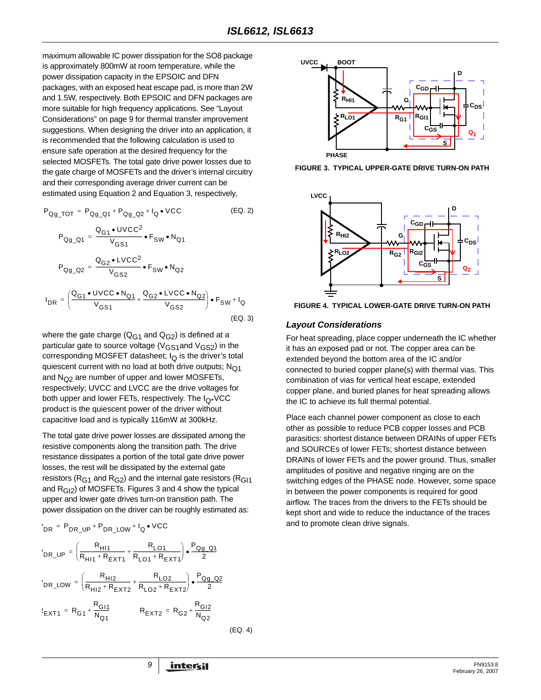maximum allowable IC power dissipation for the SO8 package is approximately 800mW at room temperature, while the power dissipation capacity in the EPSOIC and DFN packages, with an exposed heat escape pad, is more than 2W and 1.5W, respectively. Both EPSOIC and DFN packages are more suitable for high frequency applications. See ["Layout](#page-8-0)  [Considerations" on page 9](#page-8-0) for thermal transfer improvement suggestions. When designing the driver into an application, it is recommended that the following calculation is used to ensure safe operation at the desired frequency for the selected MOSFETs. The total gate drive power losses due to the gate charge of MOSFETs and the driver's internal circuitry and their corresponding average driver current can be estimated using Equation 2 and Equation 3, respectively,

$$
P_{Qg\_TOT} = P_{Qg\_Q1} + P_{Qg\_Q2} + I_Q \cdot \text{VCC}
$$
 (EQ. 2)  
\n
$$
P_{Qg\_Q1} = \frac{Q_{G1} \cdot \text{UVCC}^2}{V_{GS1}} \cdot F_{SW} \cdot N_{Q1}
$$
  
\n
$$
P_{Qg\_Q2} = \frac{Q_{G2} \cdot \text{LVCC}^2}{V_{GS2}} \cdot F_{SW} \cdot N_{Q2}
$$
  
\n
$$
I_{DR} = \left(\frac{Q_{G1} \cdot \text{UVCC} \cdot N_{Q1}}{V_{GS1}} + \frac{Q_{G2} \cdot \text{LVCC} \cdot N_{Q2}}{V_{GS2}}\right) \cdot F_{SW} + I_Q
$$
  
\n(EQ. 3)

where the gate charge ( $Q_{G1}$  and  $Q_{G2}$ ) is defined at a particular gate to source voltage ( $V_{GS1}$ and  $V_{GS2}$ ) in the corresponding MOSFET datasheet;  $I_{\Omega}$  is the driver's total quiescent current with no load at both drive outputs;  $N<sub>O1</sub>$ and  $N_{\Omega^2}$  are number of upper and lower MOSFETs, respectively; UVCC and LVCC are the drive voltages for both upper and lower FETs, respectively. The  $I_{\Omega^*}$ VCC product is the quiescent power of the driver without capacitive load and is typically 116mW at 300kHz.

The total gate drive power losses are dissipated among the resistive components along the transition path. The drive resistance dissipates a portion of the total gate drive power losses, the rest will be dissipated by the external gate resistors ( $R<sub>G1</sub>$  and  $R<sub>G2</sub>$ ) and the internal gate resistors ( $R<sub>G11</sub>$ ) and  $R<sub>G12</sub>$ ) of MOSFETs. Figures 3 and 4 show the typical upper and lower gate drives turn-on transition path. The power dissipation on the driver can be roughly estimated as:

$$
P_{DR} = P_{DR\_UP} + P_{DR\_LOW} + I_Q \bullet VCC
$$

$$
{}^{1}DR\_UP = \left(\frac{R_{H11}}{R_{H11} + R_{EXT1}} + \frac{R_{L01}}{R_{L01} + R_{EXT1}}\right) \cdot \frac{P_{Qg\_Q1}}{2}
$$
  

$$
{}^{1}DR\_LOW = \left(\frac{R_{H12}}{R_{H12} + R_{EXT2}} + \frac{R_{L02}}{R_{L02} + R_{EXT2}}\right) \cdot \frac{P_{Qg\_Q2}}{2}
$$
  

$$
{}^{1}ER_{H11} = R_{G1} + \frac{R_{G11}}{N_{Q1}}
$$
  

$$
R_{EXT2} = R_{G2} + \frac{R_{G12}}{N_{Q2}}
$$



it has an exposed pad or not. The copper area can be extended beyond the bottom area of the IC and/or connected to buried copper plane(s) with thermal vias. This combination of vias for vertical heat escape, extended copper plane, and buried planes for heat spreading allows the IC to achieve its full thermal potential.

Place each channel power component as close to each other as possible to reduce PCB copper losses and PCB parasitics: shortest distance between DRAINs of upper FETs and SOURCEs of lower FETs; shortest distance between DRAINs of lower FETs and the power ground. Thus, smaller amplitudes of positive and negative ringing are on the switching edges of the PHASE node. However, some space in between the power components is required for good airflow. The traces from the drivers to the FETs should be kept short and wide to reduce the inductance of the traces and to promote clean drive signals.



**FIGURE 3. TYPICAL UPPER-GATE DRIVE TURN-ON PATH**



<span id="page-8-0"></span>**FIGURE 4. TYPICAL LOWER-GATE DRIVE TURN-ON PATH**

(EQ. 4)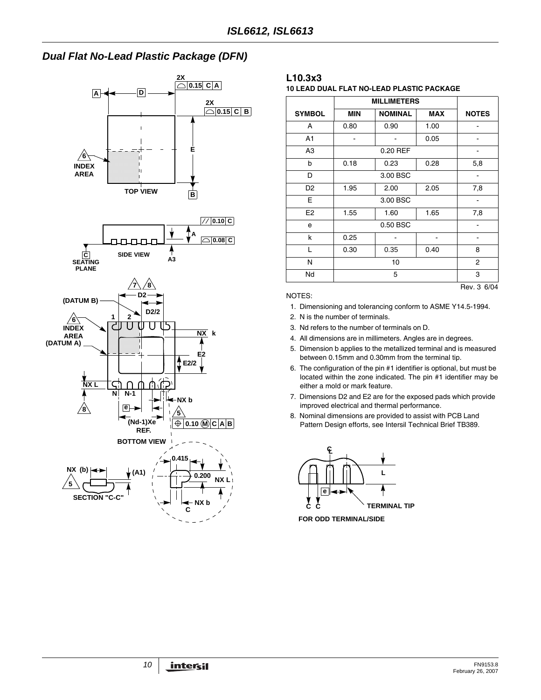# *Dual Flat No-Lead Plastic Package (DFN)*



## **L10.3x3**

**10 LEAD DUAL FLAT NO-LEAD PLASTIC PACKAGE**

| <b>SYMBOL</b>  | <b>MIN</b> | <b>NOMINAL</b> | <b>MAX</b> | <b>NOTES</b> |  |  |
|----------------|------------|----------------|------------|--------------|--|--|
| A              | 0.80       | 0.90           | 1.00       |              |  |  |
| A1             |            |                | 0.05       |              |  |  |
| A3             |            | 0.20 REF       |            |              |  |  |
| b              | 0.18       | 0.23           | 0.28       | 5,8          |  |  |
| D              |            | 3.00 BSC       |            |              |  |  |
| D <sub>2</sub> | 1.95       | 2.00           | 2.05       | 7,8          |  |  |
| Е              |            | 3.00 BSC       |            |              |  |  |
| E <sub>2</sub> | 1.55       | 1.60           | 1.65       | 7,8          |  |  |
| e              |            | 0.50 BSC       |            |              |  |  |
| k              | 0.25       |                |            |              |  |  |
| L              | 0.30       | 0.35           | 0.40       | 8            |  |  |
| N              |            | $\overline{2}$ |            |              |  |  |
| Nd             |            | 5              |            |              |  |  |
|                |            |                |            |              |  |  |

NOTES:

1. Dimensioning and tolerancing conform to ASME Y14.5-1994.

2. N is the number of terminals.

- 3. Nd refers to the number of terminals on D.
- 4. All dimensions are in millimeters. Angles are in degrees.
- 5. Dimension b applies to the metallized terminal and is measured between 0.15mm and 0.30mm from the terminal tip.
- 6. The configuration of the pin #1 identifier is optional, but must be located within the zone indicated. The pin #1 identifier may be either a mold or mark feature.
- 7. Dimensions D2 and E2 are for the exposed pads which provide improved electrical and thermal performance.
- 8. Nominal dimensions are provided to assist with PCB Land Pattern Design efforts, see Intersil Technical Brief TB389.



**FOR ODD TERMINAL/SIDE**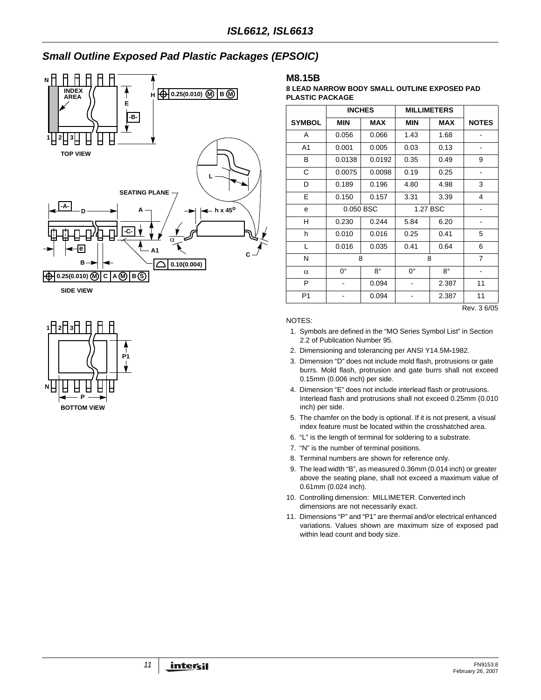# *Small Outline Exposed Pad Plastic Packages (EPSOIC)*





#### **M8.15B**

#### **8 LEAD NARROW BODY SMALL OUTLINE EXPOSED PAD PLASTIC PACKAGE**

|                | <b>INCHES</b> |             | <b>MILLIMETERS</b> |             |                |
|----------------|---------------|-------------|--------------------|-------------|----------------|
| <b>SYMBOL</b>  | <b>MIN</b>    | <b>MAX</b>  | <b>MIN</b>         | <b>MAX</b>  | <b>NOTES</b>   |
| A              | 0.056         | 0.066       | 1.43               | 1.68        |                |
| A1             | 0.001         | 0.005       | 0.03               | 0.13        |                |
| В              | 0.0138        | 0.0192      | 0.35               | 0.49        | 9              |
| C              | 0.0075        | 0.0098      | 0.19               | 0.25        |                |
| D              | 0.189         | 0.196       | 4.80               | 4.98        | 3              |
| E              | 0.150         | 0.157       | 3.31               | 3.39        | 4              |
| e              | 0.050 BSC     |             | 1.27 BSC           |             |                |
| н              | 0.230         | 0.244       | 5.84               | 6.20        |                |
| h              | 0.010         | 0.016       | 0.25               | 0.41        | 5              |
| L              | 0.016         | 0.035       | 0.41               | 0.64        | 6              |
| N              | 8             |             |                    | 8           | $\overline{7}$ |
| $\alpha$       | 0°            | $8^{\circ}$ | $0^{\circ}$        | $8^{\circ}$ |                |
| P              |               | 0.094       |                    | 2.387       | 11             |
| P <sub>1</sub> |               | 0.094       |                    | 2.387       | 11             |
|                |               |             |                    |             | Rev. 3 6/05    |

#### NOTES:

- 1. Symbols are defined in the "MO Series Symbol List" in Section 2.2 of Publication Number 95.
- 2. Dimensioning and tolerancing per ANSI Y14.5M**-**1982.
- 3. Dimension "D" does not include mold flash, protrusions or gate burrs. Mold flash, protrusion and gate burrs shall not exceed 0.15mm (0.006 inch) per side.
- 4. Dimension "E" does not include interlead flash or protrusions. Interlead flash and protrusions shall not exceed 0.25mm (0.010 inch) per side.
- 5. The chamfer on the body is optional. If it is not present, a visual index feature must be located within the crosshatched area.
- 6. "L" is the length of terminal for soldering to a substrate.
- 7. "N" is the number of terminal positions.
- 8. Terminal numbers are shown for reference only.
- 9. The lead width "B", as measured 0.36mm (0.014 inch) or greater above the seating plane, shall not exceed a maximum value of 0.61mm (0.024 inch).
- 10. Controlling dimension: MILLIMETER. Converted inch dimensions are not necessarily exact.
- 11. Dimensions "P" and "P1" are thermal and/or electrical enhanced variations. Values shown are maximum size of exposed pad within lead count and body size.